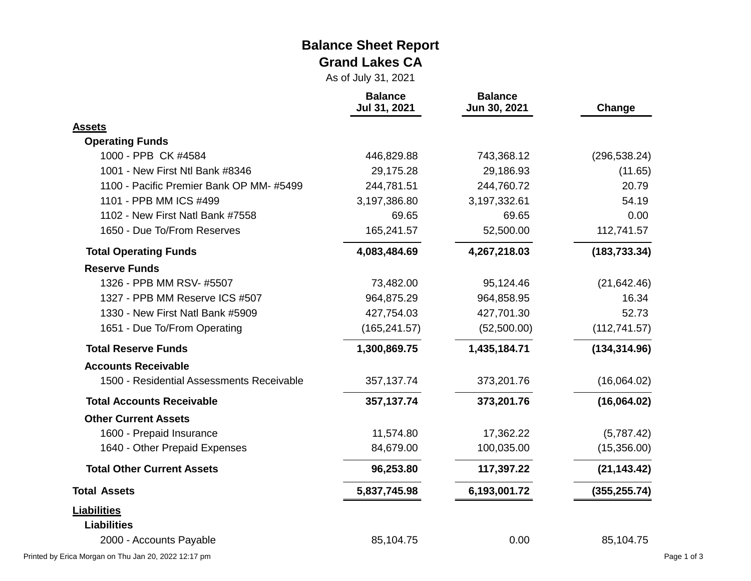#### **Balance Sheet Report Grand Lakes CA**

As of July 31, 2021

|                                           | <b>Balance</b><br>Jul 31, 2021 | <b>Balance</b><br>Jun 30, 2021 | Change        |  |
|-------------------------------------------|--------------------------------|--------------------------------|---------------|--|
| <b>Assets</b>                             |                                |                                |               |  |
| <b>Operating Funds</b>                    |                                |                                |               |  |
| 1000 - PPB CK #4584                       | 446,829.88                     | 743,368.12                     | (296, 538.24) |  |
| 1001 - New First Ntl Bank #8346           | 29,175.28                      | 29,186.93                      | (11.65)       |  |
| 1100 - Pacific Premier Bank OP MM-#5499   | 244,781.51                     | 244,760.72                     | 20.79         |  |
| 1101 - PPB MM ICS #499                    | 3,197,386.80                   | 3,197,332.61                   | 54.19         |  |
| 1102 - New First Natl Bank #7558          | 69.65                          | 69.65                          | 0.00          |  |
| 1650 - Due To/From Reserves               | 165,241.57                     | 52,500.00                      | 112,741.57    |  |
| <b>Total Operating Funds</b>              | 4,083,484.69                   | 4,267,218.03                   | (183, 733.34) |  |
| <b>Reserve Funds</b>                      |                                |                                |               |  |
| 1326 - PPB MM RSV- #5507                  | 73,482.00                      | 95,124.46                      | (21, 642.46)  |  |
| 1327 - PPB MM Reserve ICS #507            | 964,875.29                     | 964,858.95                     | 16.34         |  |
| 1330 - New First Natl Bank #5909          | 427,754.03                     | 427,701.30                     | 52.73         |  |
| 1651 - Due To/From Operating              | (165, 241.57)                  | (52,500.00)                    | (112, 741.57) |  |
| <b>Total Reserve Funds</b>                | 1,300,869.75                   | 1,435,184.71                   | (134, 314.96) |  |
| <b>Accounts Receivable</b>                |                                |                                |               |  |
| 1500 - Residential Assessments Receivable | 357, 137. 74                   | 373,201.76                     | (16,064.02)   |  |
| <b>Total Accounts Receivable</b>          | 357, 137. 74                   | 373,201.76                     | (16,064.02)   |  |
| <b>Other Current Assets</b>               |                                |                                |               |  |
| 1600 - Prepaid Insurance                  | 11,574.80                      | 17,362.22                      | (5,787.42)    |  |
| 1640 - Other Prepaid Expenses             | 84,679.00                      | 100,035.00                     | (15,356.00)   |  |
| <b>Total Other Current Assets</b>         | 96,253.80                      | 117,397.22                     | (21, 143.42)  |  |
| <b>Total Assets</b>                       | 5,837,745.98                   | 6,193,001.72                   | (355, 255.74) |  |
| <b>Liabilities</b>                        |                                |                                |               |  |
| <b>Liabilities</b>                        |                                |                                |               |  |
| 2000 - Accounts Payable                   | 85,104.75                      | 0.00                           | 85,104.75     |  |

Printed by Erica Morgan on Thu Jan 20, 2022 12:17 pm Page 1 of 3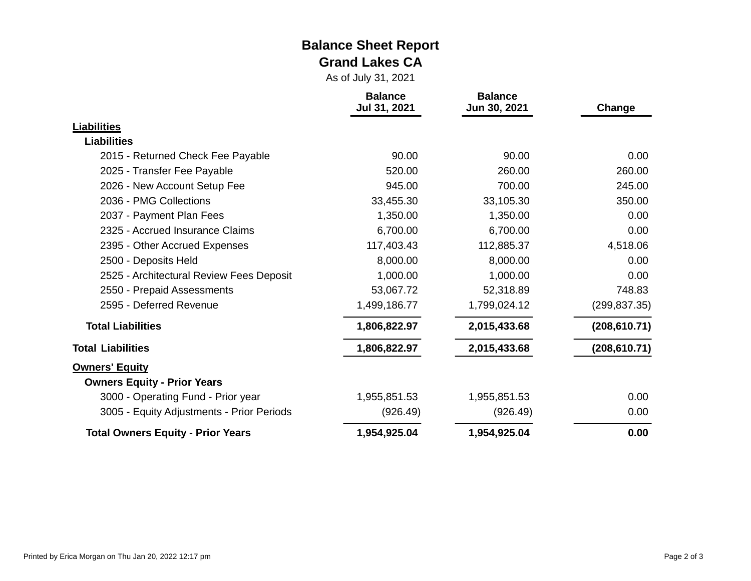#### **Balance Sheet Report Grand Lakes CA**

As of July 31, 2021

|                                           | <b>Balance</b><br>Jul 31, 2021 | <b>Balance</b><br>Jun 30, 2021 | Change        |
|-------------------------------------------|--------------------------------|--------------------------------|---------------|
| <b>Liabilities</b>                        |                                |                                |               |
| <b>Liabilities</b>                        |                                |                                |               |
| 2015 - Returned Check Fee Payable         | 90.00                          | 90.00                          | 0.00          |
| 2025 - Transfer Fee Payable               | 520.00                         | 260.00                         | 260.00        |
| 2026 - New Account Setup Fee              | 945.00                         | 700.00                         | 245.00        |
| 2036 - PMG Collections                    | 33,455.30                      | 33,105.30                      | 350.00        |
| 2037 - Payment Plan Fees                  | 1,350.00                       | 1,350.00                       | 0.00          |
| 2325 - Accrued Insurance Claims           | 6,700.00                       | 6,700.00                       | 0.00          |
| 2395 - Other Accrued Expenses             | 117,403.43                     | 112,885.37                     | 4,518.06      |
| 2500 - Deposits Held                      | 8,000.00                       | 8,000.00                       | 0.00          |
| 2525 - Architectural Review Fees Deposit  | 1,000.00                       | 1,000.00                       | 0.00          |
| 2550 - Prepaid Assessments                | 53,067.72                      | 52,318.89                      | 748.83        |
| 2595 - Deferred Revenue                   | 1,499,186.77                   | 1,799,024.12                   | (299, 837.35) |
| <b>Total Liabilities</b>                  | 1,806,822.97                   | 2,015,433.68                   | (208, 610.71) |
| <b>Total Liabilities</b>                  | 1,806,822.97                   | 2,015,433.68                   | (208, 610.71) |
| <b>Owners' Equity</b>                     |                                |                                |               |
| <b>Owners Equity - Prior Years</b>        |                                |                                |               |
| 3000 - Operating Fund - Prior year        | 1,955,851.53                   | 1,955,851.53                   | 0.00          |
| 3005 - Equity Adjustments - Prior Periods | (926.49)                       | (926.49)                       | 0.00          |
| <b>Total Owners Equity - Prior Years</b>  | 1,954,925.04                   | 1,954,925.04                   | 0.00          |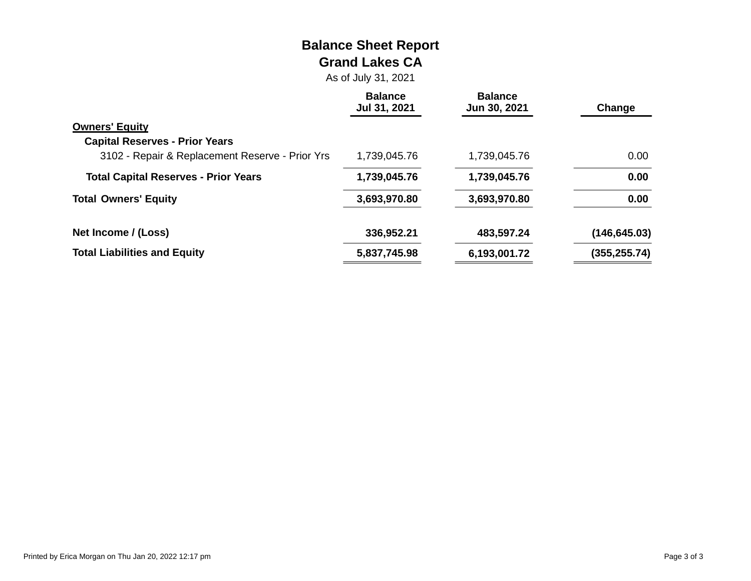# **Balance Sheet Report Grand Lakes CA**

As of July 31, 2021

|                                                 | <b>Balance</b><br>Jul 31, 2021 | <b>Balance</b><br>Jun 30, 2021 | Change        |
|-------------------------------------------------|--------------------------------|--------------------------------|---------------|
| <b>Owners' Equity</b>                           |                                |                                |               |
| <b>Capital Reserves - Prior Years</b>           |                                |                                |               |
| 3102 - Repair & Replacement Reserve - Prior Yrs | 1,739,045.76                   | 1,739,045.76                   | 0.00          |
| <b>Total Capital Reserves - Prior Years</b>     | 1,739,045.76                   | 1,739,045.76                   | 0.00          |
| <b>Total Owners' Equity</b>                     | 3,693,970.80                   | 3,693,970.80                   | 0.00          |
| Net Income / (Loss)                             | 336,952.21                     | 483,597.24                     | (146, 645.03) |
| <b>Total Liabilities and Equity</b>             | 5,837,745.98                   | 6,193,001.72                   | (355, 255.74) |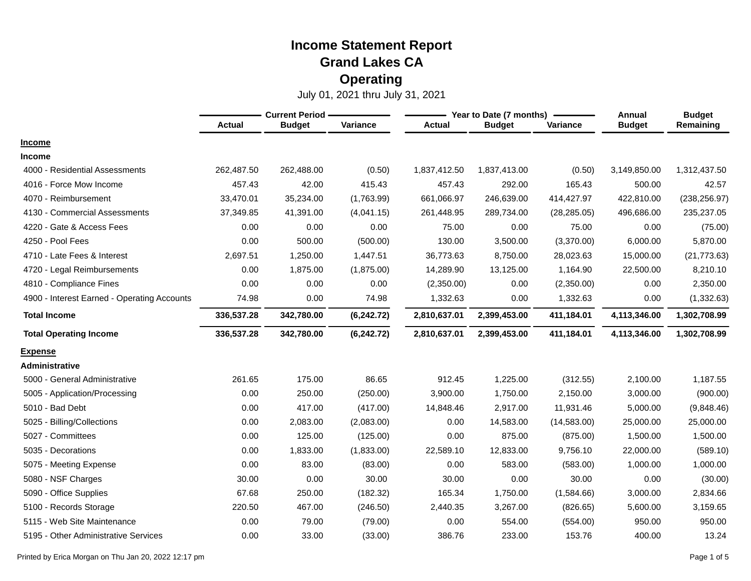|                                             | <b>Current Period -</b> |               |            |               | Year to Date (7 months) | Annual       | <b>Budget</b> |               |
|---------------------------------------------|-------------------------|---------------|------------|---------------|-------------------------|--------------|---------------|---------------|
|                                             | <b>Actual</b>           | <b>Budget</b> | Variance   | <b>Actual</b> | <b>Budget</b>           | Variance     | <b>Budget</b> | Remaining     |
| <b>Income</b>                               |                         |               |            |               |                         |              |               |               |
| <b>Income</b>                               |                         |               |            |               |                         |              |               |               |
| 4000 - Residential Assessments              | 262,487.50              | 262,488.00    | (0.50)     | 1,837,412.50  | 1,837,413.00            | (0.50)       | 3,149,850.00  | 1,312,437.50  |
| 4016 - Force Mow Income                     | 457.43                  | 42.00         | 415.43     | 457.43        | 292.00                  | 165.43       | 500.00        | 42.57         |
| 4070 - Reimbursement                        | 33,470.01               | 35,234.00     | (1,763.99) | 661,066.97    | 246,639.00              | 414,427.97   | 422,810.00    | (238, 256.97) |
| 4130 - Commercial Assessments               | 37,349.85               | 41,391.00     | (4,041.15) | 261,448.95    | 289,734.00              | (28, 285.05) | 496,686.00    | 235,237.05    |
| 4220 - Gate & Access Fees                   | 0.00                    | 0.00          | 0.00       | 75.00         | 0.00                    | 75.00        | 0.00          | (75.00)       |
| 4250 - Pool Fees                            | 0.00                    | 500.00        | (500.00)   | 130.00        | 3,500.00                | (3,370.00)   | 6,000.00      | 5,870.00      |
| 4710 - Late Fees & Interest                 | 2,697.51                | 1,250.00      | 1,447.51   | 36,773.63     | 8,750.00                | 28,023.63    | 15,000.00     | (21, 773.63)  |
| 4720 - Legal Reimbursements                 | 0.00                    | 1,875.00      | (1,875.00) | 14,289.90     | 13,125.00               | 1,164.90     | 22,500.00     | 8,210.10      |
| 4810 - Compliance Fines                     | 0.00                    | 0.00          | 0.00       | (2,350.00)    | 0.00                    | (2,350.00)   | 0.00          | 2,350.00      |
| 4900 - Interest Earned - Operating Accounts | 74.98                   | 0.00          | 74.98      | 1,332.63      | 0.00                    | 1,332.63     | 0.00          | (1,332.63)    |
| <b>Total Income</b>                         | 336,537.28              | 342,780.00    | (6,242.72) | 2,810,637.01  | 2,399,453.00            | 411,184.01   | 4,113,346.00  | 1,302,708.99  |
| <b>Total Operating Income</b>               | 336,537.28              | 342,780.00    | (6,242.72) | 2,810,637.01  | 2,399,453.00            | 411,184.01   | 4,113,346.00  | 1,302,708.99  |
| <b>Expense</b>                              |                         |               |            |               |                         |              |               |               |
| Administrative                              |                         |               |            |               |                         |              |               |               |
| 5000 - General Administrative               | 261.65                  | 175.00        | 86.65      | 912.45        | 1,225.00                | (312.55)     | 2,100.00      | 1,187.55      |
| 5005 - Application/Processing               | 0.00                    | 250.00        | (250.00)   | 3,900.00      | 1,750.00                | 2,150.00     | 3,000.00      | (900.00)      |
| 5010 - Bad Debt                             | 0.00                    | 417.00        | (417.00)   | 14,848.46     | 2,917.00                | 11,931.46    | 5,000.00      | (9,848.46)    |
| 5025 - Billing/Collections                  | 0.00                    | 2,083.00      | (2,083.00) | 0.00          | 14,583.00               | (14, 583.00) | 25,000.00     | 25,000.00     |
| 5027 - Committees                           | 0.00                    | 125.00        | (125.00)   | 0.00          | 875.00                  | (875.00)     | 1,500.00      | 1,500.00      |
| 5035 - Decorations                          | 0.00                    | 1,833.00      | (1,833.00) | 22,589.10     | 12,833.00               | 9,756.10     | 22,000.00     | (589.10)      |
| 5075 - Meeting Expense                      | 0.00                    | 83.00         | (83.00)    | 0.00          | 583.00                  | (583.00)     | 1,000.00      | 1,000.00      |
| 5080 - NSF Charges                          | 30.00                   | 0.00          | 30.00      | 30.00         | 0.00                    | 30.00        | 0.00          | (30.00)       |
| 5090 - Office Supplies                      | 67.68                   | 250.00        | (182.32)   | 165.34        | 1,750.00                | (1,584.66)   | 3,000.00      | 2,834.66      |
| 5100 - Records Storage                      | 220.50                  | 467.00        | (246.50)   | 2,440.35      | 3,267.00                | (826.65)     | 5,600.00      | 3,159.65      |
| 5115 - Web Site Maintenance                 | 0.00                    | 79.00         | (79.00)    | 0.00          | 554.00                  | (554.00)     | 950.00        | 950.00        |
| 5195 - Other Administrative Services        | 0.00                    | 33.00         | (33.00)    | 386.76        | 233.00                  | 153.76       | 400.00        | 13.24         |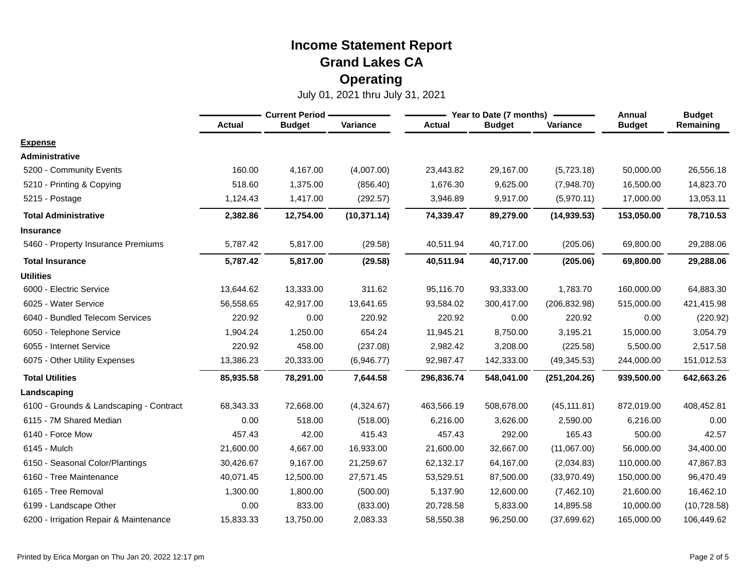|                                         |               | <b>Current Period -</b> |              |               | Year to Date (7 months) |               |               | <b>Budget</b> |
|-----------------------------------------|---------------|-------------------------|--------------|---------------|-------------------------|---------------|---------------|---------------|
|                                         | <b>Actual</b> | <b>Budget</b>           | Variance     | <b>Actual</b> | <b>Budget</b>           | Variance      | <b>Budget</b> | Remaining     |
| <b>Expense</b>                          |               |                         |              |               |                         |               |               |               |
| Administrative                          |               |                         |              |               |                         |               |               |               |
| 5200 - Community Events                 | 160.00        | 4,167.00                | (4,007.00)   | 23,443.82     | 29,167.00               | (5,723.18)    | 50,000.00     | 26,556.18     |
| 5210 - Printing & Copying               | 518.60        | 1,375.00                | (856.40)     | 1,676.30      | 9,625.00                | (7,948.70)    | 16,500.00     | 14,823.70     |
| 5215 - Postage                          | 1,124.43      | 1,417.00                | (292.57)     | 3,946.89      | 9,917.00                | (5,970.11)    | 17,000.00     | 13,053.11     |
| <b>Total Administrative</b>             | 2,382.86      | 12,754.00               | (10, 371.14) | 74,339.47     | 89,279.00               | (14, 939.53)  | 153,050.00    | 78,710.53     |
| <b>Insurance</b>                        |               |                         |              |               |                         |               |               |               |
| 5460 - Property Insurance Premiums      | 5,787.42      | 5,817.00                | (29.58)      | 40,511.94     | 40,717.00               | (205.06)      | 69,800.00     | 29,288.06     |
| <b>Total Insurance</b>                  | 5,787.42      | 5,817.00                | (29.58)      | 40,511.94     | 40,717.00               | (205.06)      | 69,800.00     | 29,288.06     |
| <b>Utilities</b>                        |               |                         |              |               |                         |               |               |               |
| 6000 - Electric Service                 | 13,644.62     | 13,333.00               | 311.62       | 95,116.70     | 93,333.00               | 1,783.70      | 160,000.00    | 64,883.30     |
| 6025 - Water Service                    | 56,558.65     | 42.917.00               | 13,641.65    | 93,584.02     | 300,417.00              | (206, 832.98) | 515,000.00    | 421,415.98    |
| 6040 - Bundled Telecom Services         | 220.92        | 0.00                    | 220.92       | 220.92        | 0.00                    | 220.92        | 0.00          | (220.92)      |
| 6050 - Telephone Service                | 1,904.24      | 1,250.00                | 654.24       | 11,945.21     | 8,750.00                | 3,195.21      | 15,000.00     | 3,054.79      |
| 6055 - Internet Service                 | 220.92        | 458.00                  | (237.08)     | 2,982.42      | 3,208.00                | (225.58)      | 5,500.00      | 2,517.58      |
| 6075 - Other Utility Expenses           | 13,386.23     | 20,333.00               | (6,946.77)   | 92,987.47     | 142,333.00              | (49, 345.53)  | 244,000.00    | 151,012.53    |
| <b>Total Utilities</b>                  | 85,935.58     | 78,291.00               | 7,644.58     | 296,836.74    | 548,041.00              | (251, 204.26) | 939,500.00    | 642,663.26    |
| Landscaping                             |               |                         |              |               |                         |               |               |               |
| 6100 - Grounds & Landscaping - Contract | 68,343.33     | 72,668.00               | (4,324.67)   | 463,566.19    | 508,678.00              | (45, 111.81)  | 872,019.00    | 408,452.81    |
| 6115 - 7M Shared Median                 | 0.00          | 518.00                  | (518.00)     | 6,216.00      | 3,626.00                | 2,590.00      | 6,216.00      | 0.00          |
| 6140 - Force Mow                        | 457.43        | 42.00                   | 415.43       | 457.43        | 292.00                  | 165.43        | 500.00        | 42.57         |
| 6145 - Mulch                            | 21,600.00     | 4,667.00                | 16,933.00    | 21,600.00     | 32,667.00               | (11,067.00)   | 56,000.00     | 34,400.00     |
| 6150 - Seasonal Color/Plantings         | 30,426.67     | 9.167.00                | 21,259.67    | 62,132.17     | 64,167.00               | (2,034.83)    | 110,000.00    | 47,867.83     |
| 6160 - Tree Maintenance                 | 40,071.45     | 12,500.00               | 27,571.45    | 53,529.51     | 87,500.00               | (33,970.49)   | 150,000.00    | 96,470.49     |
| 6165 - Tree Removal                     | 1,300.00      | 1,800.00                | (500.00)     | 5,137.90      | 12,600.00               | (7,462.10)    | 21,600.00     | 16,462.10     |
| 6199 - Landscape Other                  | 0.00          | 833.00                  | (833.00)     | 20,728.58     | 5,833.00                | 14,895.58     | 10,000.00     | (10, 728.58)  |
| 6200 - Irrigation Repair & Maintenance  | 15,833.33     | 13,750.00               | 2,083.33     | 58,550.38     | 96,250.00               | (37,699.62)   | 165,000.00    | 106,449.62    |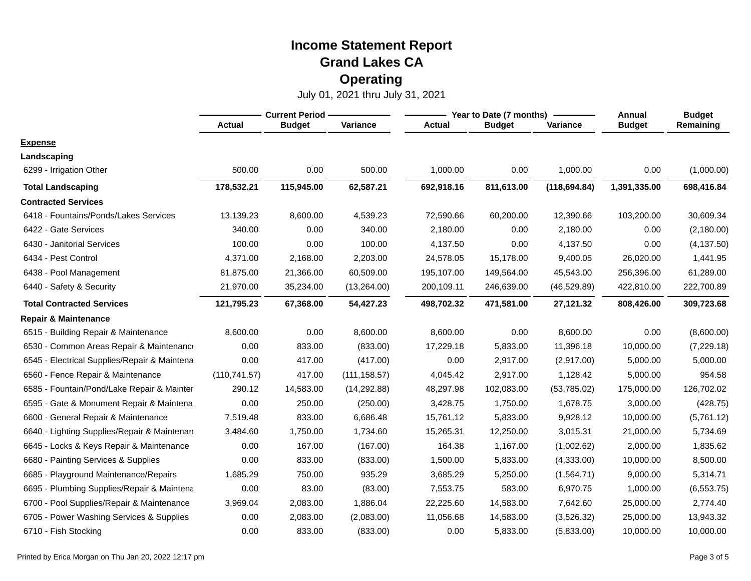|                                              | <b>Current Period</b> |               |               |               | Year to Date (7 months) | Annual        | <b>Budget</b> |             |
|----------------------------------------------|-----------------------|---------------|---------------|---------------|-------------------------|---------------|---------------|-------------|
|                                              | <b>Actual</b>         | <b>Budget</b> | Variance      | <b>Actual</b> | <b>Budget</b>           | Variance      | <b>Budget</b> | Remaining   |
| <b>Expense</b>                               |                       |               |               |               |                         |               |               |             |
| Landscaping                                  |                       |               |               |               |                         |               |               |             |
| 6299 - Irrigation Other                      | 500.00                | 0.00          | 500.00        | 1,000.00      | 0.00                    | 1,000.00      | 0.00          | (1,000.00)  |
| <b>Total Landscaping</b>                     | 178,532.21            | 115,945.00    | 62,587.21     | 692,918.16    | 811,613.00              | (118, 694.84) | 1,391,335.00  | 698,416.84  |
| <b>Contracted Services</b>                   |                       |               |               |               |                         |               |               |             |
| 6418 - Fountains/Ponds/Lakes Services        | 13,139.23             | 8,600.00      | 4,539.23      | 72,590.66     | 60,200.00               | 12,390.66     | 103,200.00    | 30,609.34   |
| 6422 - Gate Services                         | 340.00                | 0.00          | 340.00        | 2,180.00      | 0.00                    | 2,180.00      | 0.00          | (2, 180.00) |
| 6430 - Janitorial Services                   | 100.00                | 0.00          | 100.00        | 4,137.50      | 0.00                    | 4,137.50      | 0.00          | (4, 137.50) |
| 6434 - Pest Control                          | 4,371.00              | 2,168.00      | 2,203.00      | 24,578.05     | 15,178.00               | 9,400.05      | 26,020.00     | 1,441.95    |
| 6438 - Pool Management                       | 81,875.00             | 21,366.00     | 60,509.00     | 195,107.00    | 149,564.00              | 45,543.00     | 256,396.00    | 61,289.00   |
| 6440 - Safety & Security                     | 21,970.00             | 35,234.00     | (13,264.00)   | 200,109.11    | 246,639.00              | (46, 529.89)  | 422,810.00    | 222,700.89  |
| <b>Total Contracted Services</b>             | 121,795.23            | 67,368.00     | 54,427.23     | 498,702.32    | 471,581.00              | 27,121.32     | 808,426.00    | 309,723.68  |
| <b>Repair &amp; Maintenance</b>              |                       |               |               |               |                         |               |               |             |
| 6515 - Building Repair & Maintenance         | 8,600.00              | 0.00          | 8,600.00      | 8,600.00      | 0.00                    | 8,600.00      | 0.00          | (8,600.00)  |
| 6530 - Common Areas Repair & Maintenance     | 0.00                  | 833.00        | (833.00)      | 17,229.18     | 5,833.00                | 11,396.18     | 10,000.00     | (7, 229.18) |
| 6545 - Electrical Supplies/Repair & Maintena | 0.00                  | 417.00        | (417.00)      | 0.00          | 2,917.00                | (2,917.00)    | 5,000.00      | 5,000.00    |
| 6560 - Fence Repair & Maintenance            | (110, 741.57)         | 417.00        | (111, 158.57) | 4,045.42      | 2,917.00                | 1,128.42      | 5,000.00      | 954.58      |
| 6585 - Fountain/Pond/Lake Repair & Mainter   | 290.12                | 14,583.00     | (14, 292.88)  | 48,297.98     | 102,083.00              | (53,785.02)   | 175,000.00    | 126,702.02  |
| 6595 - Gate & Monument Repair & Maintena     | 0.00                  | 250.00        | (250.00)      | 3,428.75      | 1,750.00                | 1,678.75      | 3,000.00      | (428.75)    |
| 6600 - General Repair & Maintenance          | 7,519.48              | 833.00        | 6,686.48      | 15,761.12     | 5,833.00                | 9,928.12      | 10,000.00     | (5,761.12)  |
| 6640 - Lighting Supplies/Repair & Maintenan  | 3,484.60              | 1,750.00      | 1,734.60      | 15,265.31     | 12,250.00               | 3,015.31      | 21,000.00     | 5,734.69    |
| 6645 - Locks & Keys Repair & Maintenance     | 0.00                  | 167.00        | (167.00)      | 164.38        | 1,167.00                | (1,002.62)    | 2,000.00      | 1,835.62    |
| 6680 - Painting Services & Supplies          | 0.00                  | 833.00        | (833.00)      | 1,500.00      | 5,833.00                | (4,333.00)    | 10,000.00     | 8,500.00    |
| Playground Maintenance/Repairs<br>6685 -     | 1,685.29              | 750.00        | 935.29        | 3,685.29      | 5,250.00                | (1,564.71)    | 9,000.00      | 5,314.71    |
| 6695 - Plumbing Supplies/Repair & Maintena   | 0.00                  | 83.00         | (83.00)       | 7,553.75      | 583.00                  | 6,970.75      | 1,000.00      | (6, 553.75) |
| Pool Supplies/Repair & Maintenance<br>6700 - | 3,969.04              | 2,083.00      | 1,886.04      | 22,225.60     | 14,583.00               | 7,642.60      | 25,000.00     | 2,774.40    |
| 6705 - Power Washing Services & Supplies     | 0.00                  | 2,083.00      | (2,083.00)    | 11,056.68     | 14,583.00               | (3,526.32)    | 25,000.00     | 13,943.32   |
| 6710 - Fish Stocking                         | 0.00                  | 833.00        | (833.00)      | 0.00          | 5,833.00                | (5,833.00)    | 10,000.00     | 10,000.00   |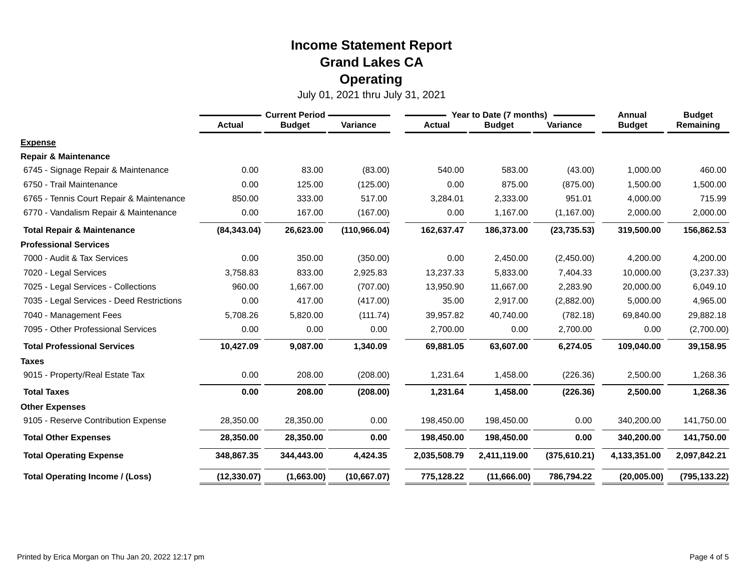|                                           | <b>Current Period -</b> |               |               |               | Year to Date (7 months) |               |               | <b>Budget</b> |
|-------------------------------------------|-------------------------|---------------|---------------|---------------|-------------------------|---------------|---------------|---------------|
|                                           | <b>Actual</b>           | <b>Budget</b> | Variance      | <b>Actual</b> | <b>Budget</b>           | Variance      | <b>Budget</b> | Remaining     |
| <b>Expense</b>                            |                         |               |               |               |                         |               |               |               |
| <b>Repair &amp; Maintenance</b>           |                         |               |               |               |                         |               |               |               |
| 6745 - Signage Repair & Maintenance       | 0.00                    | 83.00         | (83.00)       | 540.00        | 583.00                  | (43.00)       | 1,000.00      | 460.00        |
| 6750 - Trail Maintenance                  | 0.00                    | 125.00        | (125.00)      | 0.00          | 875.00                  | (875.00)      | 1,500.00      | 1,500.00      |
| 6765 - Tennis Court Repair & Maintenance  | 850.00                  | 333.00        | 517.00        | 3,284.01      | 2,333.00                | 951.01        | 4,000.00      | 715.99        |
| 6770 - Vandalism Repair & Maintenance     | 0.00                    | 167.00        | (167.00)      | 0.00          | 1,167.00                | (1, 167.00)   | 2,000.00      | 2,000.00      |
| <b>Total Repair &amp; Maintenance</b>     | (84, 343.04)            | 26,623.00     | (110, 966.04) | 162,637.47    | 186,373.00              | (23, 735.53)  | 319,500.00    | 156,862.53    |
| <b>Professional Services</b>              |                         |               |               |               |                         |               |               |               |
| 7000 - Audit & Tax Services               | 0.00                    | 350.00        | (350.00)      | 0.00          | 2,450.00                | (2,450.00)    | 4,200.00      | 4,200.00      |
| 7020 - Legal Services                     | 3,758.83                | 833.00        | 2,925.83      | 13,237.33     | 5,833.00                | 7,404.33      | 10,000.00     | (3,237.33)    |
| 7025 - Legal Services - Collections       | 960.00                  | 1,667.00      | (707.00)      | 13,950.90     | 11,667.00               | 2,283.90      | 20,000.00     | 6,049.10      |
| 7035 - Legal Services - Deed Restrictions | 0.00                    | 417.00        | (417.00)      | 35.00         | 2.917.00                | (2,882.00)    | 5,000.00      | 4,965.00      |
| 7040 - Management Fees                    | 5,708.26                | 5,820.00      | (111.74)      | 39,957.82     | 40,740.00               | (782.18)      | 69,840.00     | 29,882.18     |
| 7095 - Other Professional Services        | 0.00                    | 0.00          | 0.00          | 2,700.00      | 0.00                    | 2,700.00      | 0.00          | (2,700.00)    |
| <b>Total Professional Services</b>        | 10,427.09               | 9,087.00      | 1,340.09      | 69,881.05     | 63,607.00               | 6,274.05      | 109,040.00    | 39,158.95     |
| <b>Taxes</b>                              |                         |               |               |               |                         |               |               |               |
| 9015 - Property/Real Estate Tax           | 0.00                    | 208.00        | (208.00)      | 1,231.64      | 1,458.00                | (226.36)      | 2,500.00      | 1,268.36      |
| <b>Total Taxes</b>                        | 0.00                    | 208.00        | (208.00)      | 1,231.64      | 1,458.00                | (226.36)      | 2,500.00      | 1,268.36      |
| <b>Other Expenses</b>                     |                         |               |               |               |                         |               |               |               |
| 9105 - Reserve Contribution Expense       | 28,350.00               | 28,350.00     | 0.00          | 198,450.00    | 198,450.00              | 0.00          | 340,200.00    | 141,750.00    |
| <b>Total Other Expenses</b>               | 28,350.00               | 28,350.00     | 0.00          | 198,450.00    | 198,450.00              | 0.00          | 340,200.00    | 141,750.00    |
| <b>Total Operating Expense</b>            | 348,867.35              | 344,443.00    | 4,424.35      | 2,035,508.79  | 2,411,119.00            | (375, 610.21) | 4,133,351.00  | 2,097,842.21  |
| <b>Total Operating Income / (Loss)</b>    | (12, 330.07)            | (1,663.00)    | (10,667.07)   | 775,128.22    | (11,666.00)             | 786,794.22    | (20,005.00)   | (795, 133.22) |
|                                           |                         |               |               |               |                         |               |               |               |